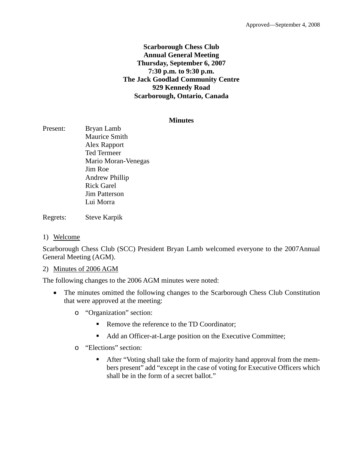## **Scarborough Chess Club Annual General Meeting Thursday, September 6, 2007 7:30 p.m. to 9:30 p.m. The Jack Goodlad Community Centre 929 Kennedy Road Scarborough, Ontario, Canada**

### **Minutes**

Present: Bryan Lamb Maurice Smith Alex Rapport Ted Termeer Mario Moran-Venegas Jim Roe Andrew Phillip Rick Garel Jim Patterson Lui Morra

Regrets: Steve Karpik

1) Welcome

Scarborough Chess Club (SCC) President Bryan Lamb welcomed everyone to the 2007Annual General Meeting (AGM).

### 2) Minutes of 2006 AGM

The following changes to the 2006 AGM minutes were noted:

- The minutes omitted the following changes to the Scarborough Chess Club Constitution that were approved at the meeting:
	- o "Organization" section:
		- Remove the reference to the TD Coordinator;
		- Add an Officer-at-Large position on the Executive Committee;
	- o "Elections" section:
		- After "Voting shall take the form of majority hand approval from the members present" add "except in the case of voting for Executive Officers which shall be in the form of a secret ballot."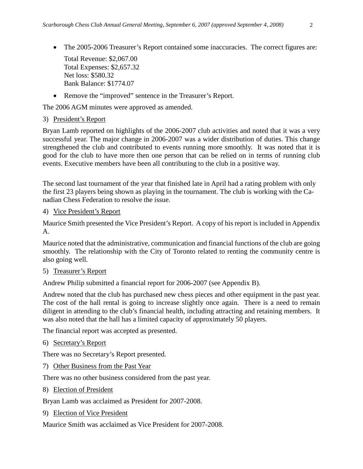• The 2005-2006 Treasurer's Report contained some inaccuracies. The correct figures are:

Total Revenue: \$2,067.00 Total Expenses: \$2,657.32 Net loss: \$580.32 Bank Balance: \$1774.07

• Remove the "improved" sentence in the Treasurer's Report.

The 2006 AGM minutes were approved as amended.

# 3) President's Report

Bryan Lamb reported on highlights of the 2006-2007 club activities and noted that it was a very successful year. The major change in 2006-2007 was a wider distribution of duties. This change strengthened the club and contributed to events running more smoothly. It was noted that it is good for the club to have more then one person that can be relied on in terms of running club events. Executive members have been all contributing to the club in a positive way.

The second last tournament of the year that finished late in April had a rating problem with only the first 23 players being shown as playing in the tournament. The club is working with the Canadian Chess Federation to resolve the issue.

## 4) Vice President's Report

Maurice Smith presented the Vice President's Report. A copy of his report is included in Appendix A.

Maurice noted that the administrative, communication and financial functions of the club are going smoothly. The relationship with the City of Toronto related to renting the community centre is also going well.

# 5) Treasurer's Report

Andrew Philip submitted a financial report for 2006-2007 (see Appendix B).

Andrew noted that the club has purchased new chess pieces and other equipment in the past year. The cost of the hall rental is going to increase slightly once again. There is a need to remain diligent in attending to the club's financial health, including attracting and retaining members. It was also noted that the hall has a limited capacity of approximately 50 players.

The financial report was accepted as presented.

6) Secretary's Report

There was no Secretary's Report presented.

7) Other Business from the Past Year

There was no other business considered from the past year.

8) Election of President

Bryan Lamb was acclaimed as President for 2007-2008.

9) Election of Vice President

Maurice Smith was acclaimed as Vice President for 2007-2008.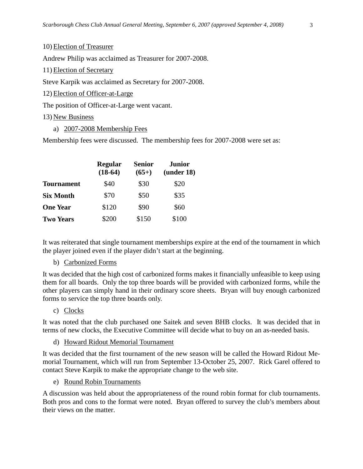10) Election of Treasurer

Andrew Philip was acclaimed as Treasurer for 2007-2008.

11) Election of Secretary

Steve Karpik was acclaimed as Secretary for 2007-2008.

12) Election of Officer-at-Large

The position of Officer-at-Large went vacant.

### 13) New Business

a) 2007-2008 Membership Fees

Membership fees were discussed. The membership fees for 2007-2008 were set as:

|                   | <b>Regular</b><br>$(18-64)$ | <b>Senior</b><br>$(65+)$ | <b>Junior</b><br>(under 18) |  |
|-------------------|-----------------------------|--------------------------|-----------------------------|--|
| <b>Tournament</b> | \$40                        | \$30                     | \$20                        |  |
| <b>Six Month</b>  | \$70                        | \$50                     | \$35                        |  |
| <b>One Year</b>   | \$120                       | \$90                     | \$60                        |  |
| <b>Two Years</b>  | \$200                       | \$150                    | \$100                       |  |

It was reiterated that single tournament memberships expire at the end of the tournament in which the player joined even if the player didn't start at the beginning.

#### b) Carbonized Forms

It was decided that the high cost of carbonized forms makes it financially unfeasible to keep using them for all boards. Only the top three boards will be provided with carbonized forms, while the other players can simply hand in their ordinary score sheets. Bryan will buy enough carbonized forms to service the top three boards only.

### c) Clocks

It was noted that the club purchased one Saitek and seven BHB clocks. It was decided that in terms of new clocks, the Executive Committee will decide what to buy on an as-needed basis.

#### d) Howard Ridout Memorial Tournament

It was decided that the first tournament of the new season will be called the Howard Ridout Memorial Tournament, which will run from September 13-October 25, 2007. Rick Garel offered to contact Steve Karpik to make the appropriate change to the web site.

#### e) Round Robin Tournaments

A discussion was held about the appropriateness of the round robin format for club tournaments. Both pros and cons to the format were noted. Bryan offered to survey the club's members about their views on the matter.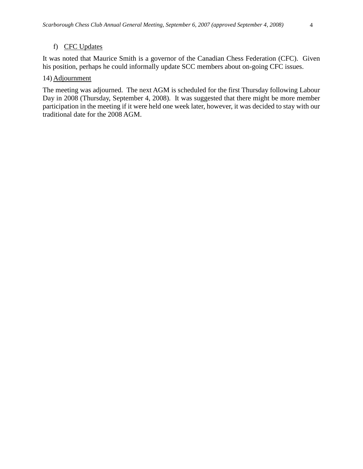It was noted that Maurice Smith is a governor of the Canadian Chess Federation (CFC). Given his position, perhaps he could informally update SCC members about on-going CFC issues.

### 14) Adjournment

The meeting was adjourned. The next AGM is scheduled for the first Thursday following Labour Day in 2008 (Thursday, September 4, 2008). It was suggested that there might be more member participation in the meeting if it were held one week later, however, it was decided to stay with our traditional date for the 2008 AGM.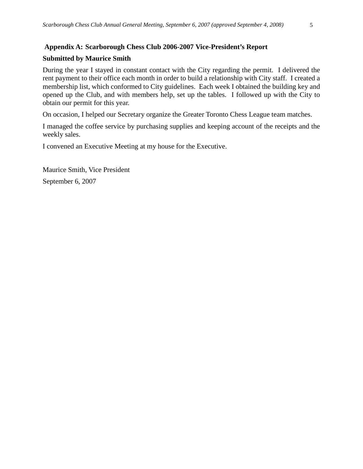### **Appendix A: Scarborough Chess Club 2006-2007 Vice-President's Report**

### **Submitted by Maurice Smith**

During the year I stayed in constant contact with the City regarding the permit. I delivered the rent payment to their office each month in order to build a relationship with City staff. I created a membership list, which conformed to City guidelines. Each week I obtained the building key and opened up the Club, and with members help, set up the tables. I followed up with the City to obtain our permit for this year.

On occasion, I helped our Secretary organize the Greater Toronto Chess League team matches.

I managed the coffee service by purchasing supplies and keeping account of the receipts and the weekly sales.

I convened an Executive Meeting at my house for the Executive.

Maurice Smith, Vice President September 6, 2007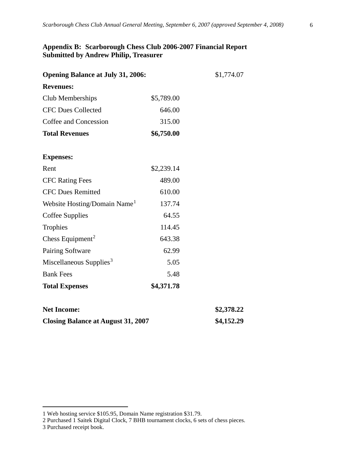# **Appendix B: Scarborough Chess Club 2006-2007 Financial Report Submitted by Andrew Philip, Treasurer**

| <b>Opening Balance at July 31, 2006:</b>  | \$1,774.07 |            |
|-------------------------------------------|------------|------------|
| <b>Revenues:</b>                          |            |            |
| Club Memberships                          | \$5,789.00 |            |
| <b>CFC Dues Collected</b>                 | 646.00     |            |
| Coffee and Concession                     | 315.00     |            |
| <b>Total Revenues</b>                     | \$6,750.00 |            |
| <b>Expenses:</b>                          |            |            |
| Rent                                      | \$2,239.14 |            |
| <b>CFC Rating Fees</b>                    | 489.00     |            |
| <b>CFC Dues Remitted</b>                  | 610.00     |            |
| Website Hosting/Domain Name <sup>1</sup>  | 137.74     |            |
| Coffee Supplies                           | 64.55      |            |
| Trophies                                  | 114.45     |            |
| Chess Equipment <sup>2</sup>              | 643.38     |            |
| Pairing Software                          | 62.99      |            |
| Miscellaneous Supplies <sup>3</sup>       | 5.05       |            |
| <b>Bank Fees</b>                          | 5.48       |            |
| <b>Total Expenses</b>                     | \$4,371.78 |            |
| <b>Net Income:</b>                        |            | \$2,378.22 |
| <b>Closing Balance at August 31, 2007</b> | \$4,152.29 |            |

 $\overline{a}$ 

<span id="page-5-0"></span><sup>1</sup> Web hosting service \$105.95, Domain Name registration \$31.79.

<span id="page-5-1"></span><sup>2</sup> Purchased 1 Saitek Digital Clock, 7 BHB tournament clocks, 6 sets of chess pieces.

<span id="page-5-2"></span><sup>3</sup> Purchased receipt book.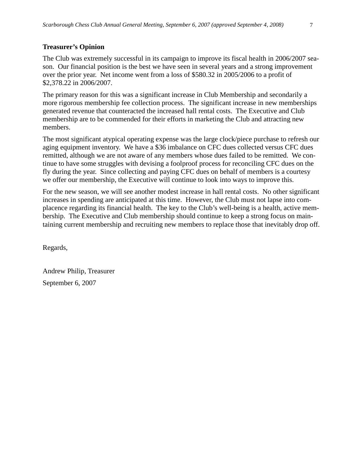# **Treasurer's Opinion**

The Club was extremely successful in its campaign to improve its fiscal health in 2006/2007 season. Our financial position is the best we have seen in several years and a strong improvement over the prior year. Net income went from a loss of \$580.32 in 2005/2006 to a profit of \$2,378.22 in 2006/2007.

The primary reason for this was a significant increase in Club Membership and secondarily a more rigorous membership fee collection process. The significant increase in new memberships generated revenue that counteracted the increased hall rental costs. The Executive and Club membership are to be commended for their efforts in marketing the Club and attracting new members.

The most significant atypical operating expense was the large clock/piece purchase to refresh our aging equipment inventory. We have a \$36 imbalance on CFC dues collected versus CFC dues remitted, although we are not aware of any members whose dues failed to be remitted. We continue to have some struggles with devising a foolproof process for reconciling CFC dues on the fly during the year. Since collecting and paying CFC dues on behalf of members is a courtesy we offer our membership, the Executive will continue to look into ways to improve this.

For the new season, we will see another modest increase in hall rental costs. No other significant increases in spending are anticipated at this time. However, the Club must not lapse into complacence regarding its financial health. The key to the Club's well-being is a health, active membership. The Executive and Club membership should continue to keep a strong focus on maintaining current membership and recruiting new members to replace those that inevitably drop off.

Regards,

Andrew Philip, Treasurer September 6, 2007